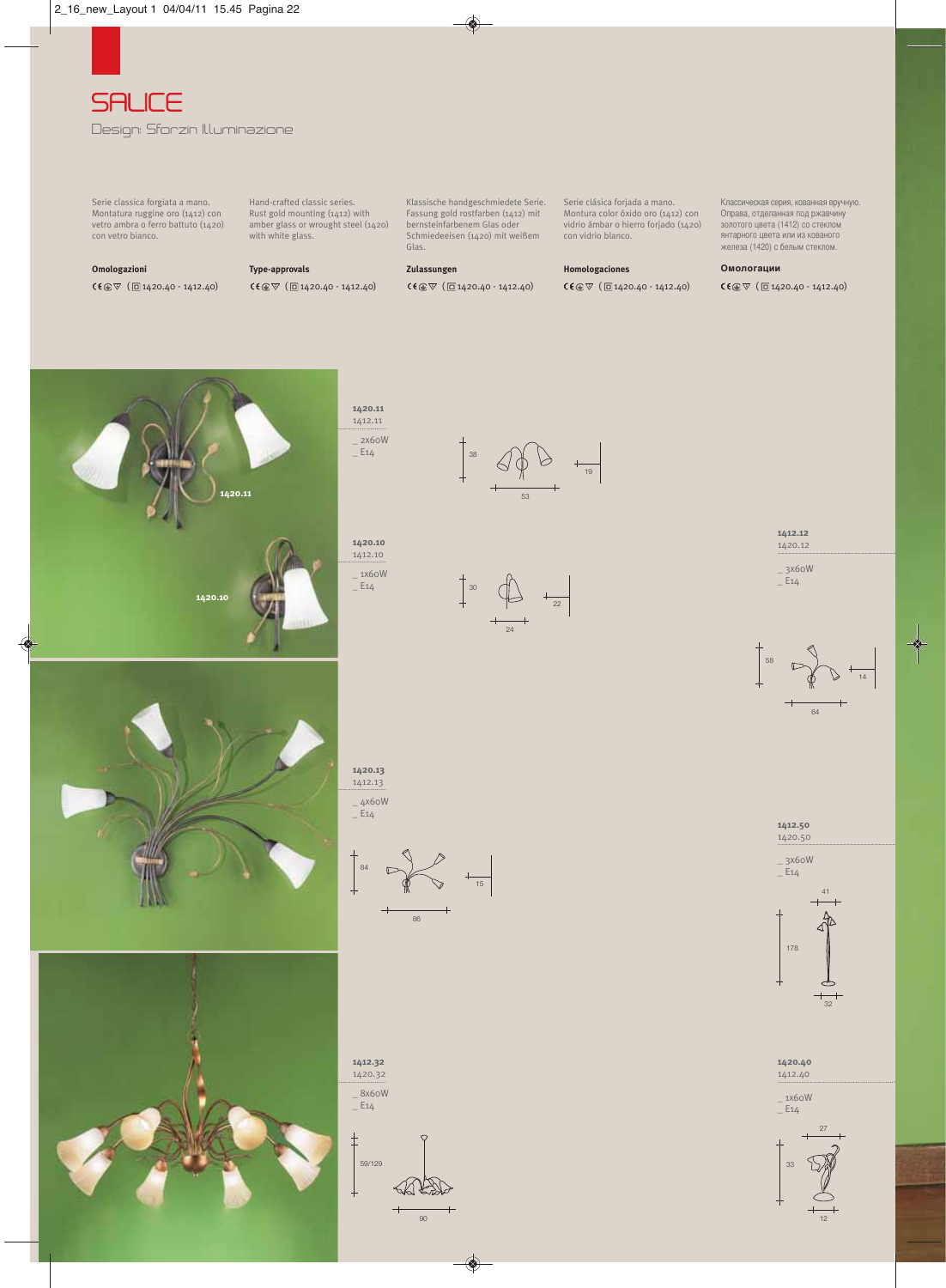

Serie classica forgiata a mano. Montatura ruggine oro (1412) con vetro ambra o ferro battuto (1420) con vetro bianco.

**Omologazioni**<br>**C€** ⊕  $\triangledown$  ( □ 1420.40 - 1412.40)

Hand-crafted classic series. Rust gold mounting (1412) with amber glass or wrought steel (1420) with white glass.

**Type-approvals**<br>**C€**  $\circledcirc$   $\triangledown$  (  $\Box$  1420.40 - 1412.40) (回1420.40 - 1412.40) **CC①▽(回1420.40 - 1412.40) CC**②▽(回1420.40 - 1412.40) **CC** CC<br>(■1420.40 - 1412.40) CC①▽(回1420.40 - 1412.40) CC②▽(回1420.40 - 1412.40) CC③▽(回1420.40 - 1412.40) CC

Klassische handgeschmiedete Serie. Fassung gold rostfarben (1412) mit bernsteinfarbenem Glas oder Schmiedeeisen (1420) mit weißem Glas.

**Zulassungen**<br>CE①▽ (回1420.40 - 1412.40)

38

Serie clásica forjada a mano. Montura color óxido oro (1412) con vidrio ámbar o hierro forjado (1420) con vidrio blanco.

19

лассическая серия, кованная вручную. Оправа, отделанная под ржавчину золотого цвета (1412) со стеклом янтарного цвета или из кованого железа (1420) с белым стеклом.

## **Омологации**



## **1420.11**  1412.11 \_ 2x60W  $E14$

**1**412.10 \_ 1x60W -<br>E14



24

53

















**1412.50**  1420.50 \_ 3x60W  $E_{14}$ 



 $\overline{41}$ 



12



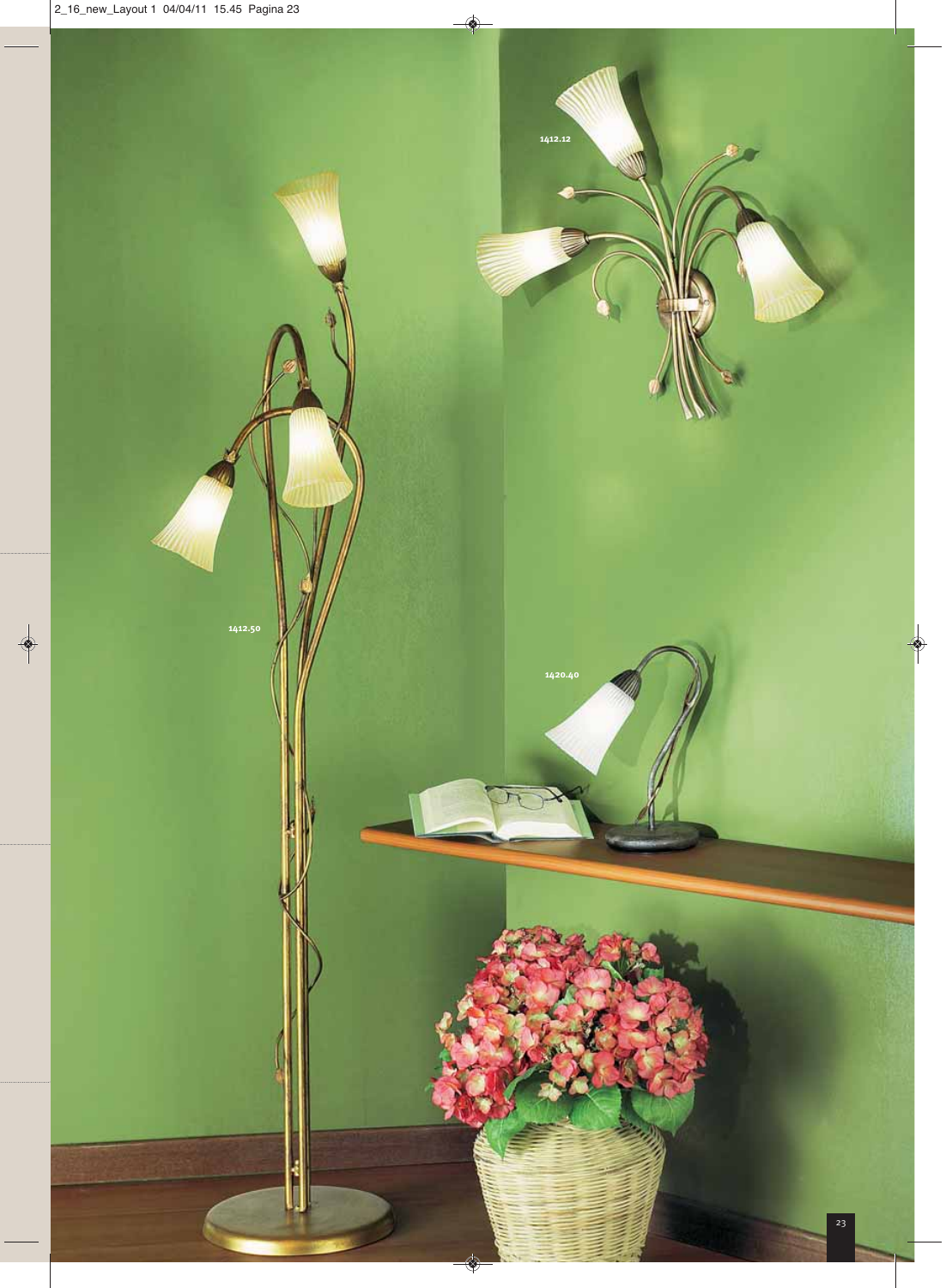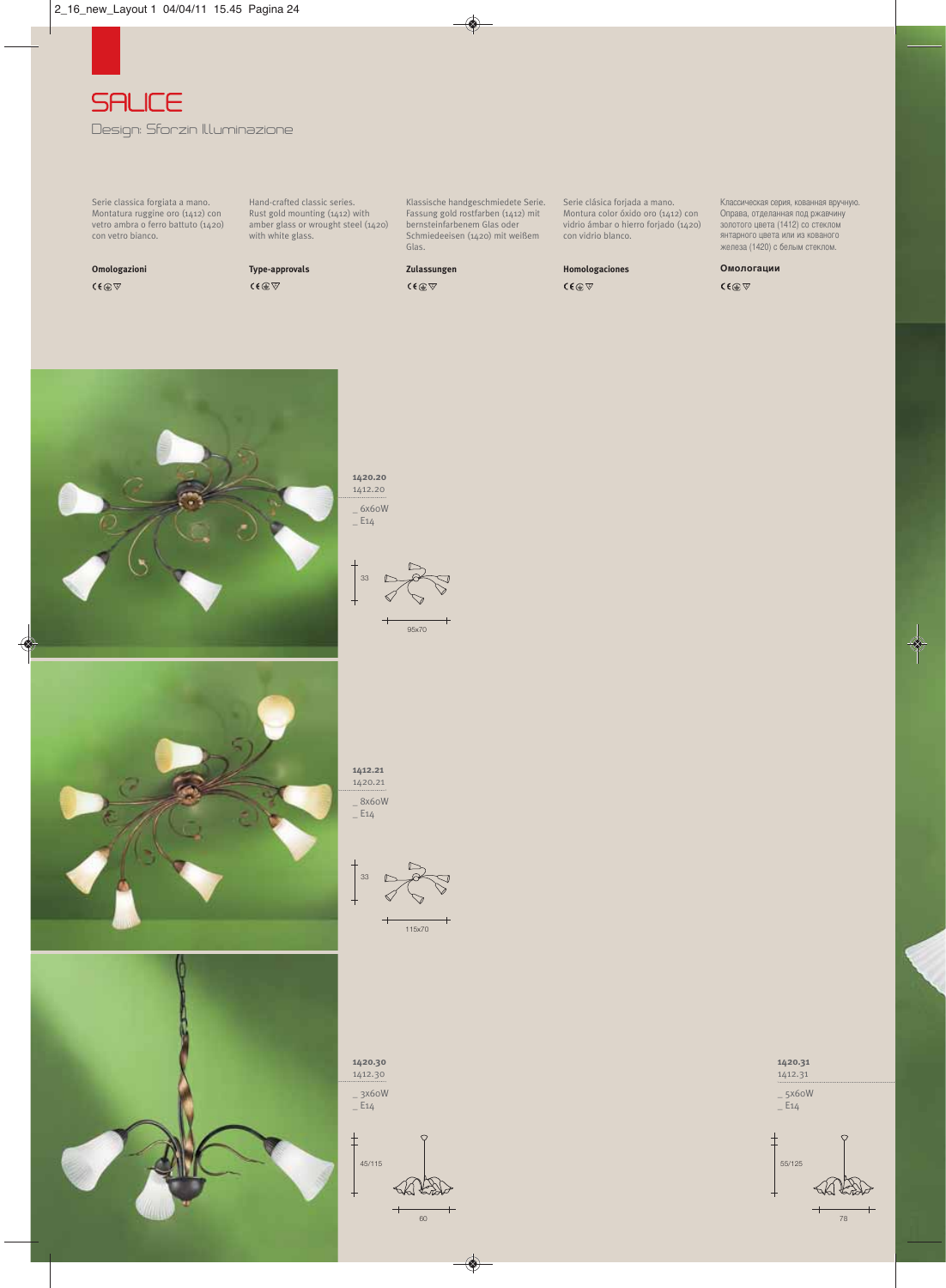

Serie classica forgiata a mano. Montatura ruggine oro (1412) con vetro ambra o ferro battuto (1420) con vetro bianco.

**Omologazioni**

Hand-crafted classic series. Rust gold mounting (1412) with amber glass or wrought steel (1420) with white glass.

**Type-approvals**

Klassische handgeschmiedete Serie. Fassung gold rostfarben (1412) mit bernsteinfarbenem Glas oder Schmiedeeisen (1420) mit weißem Glas.

# **Zulassungen**

Serie clásica forjada a mano. Montura color óxido oro (1412) con vidrio ámbar o hierro forjado (1420) con vidrio blanco.

**Homologaciones**

лассическая серия, кованная вручную. Оправа, отделанная под ржавчину золотого цвета (1412) со стеклом янтарного цвета или из кованого железа (1420) с белым стеклом.

**Омологации**

 $C \in \mathbb{Q}$ 





95x70

**1**412.20





**1420.21** 

\_ 8x60W \_<br>\_ E14







60

 $\vdash$ 

≺≲ା≮  $\overline{\phantom{0}}$